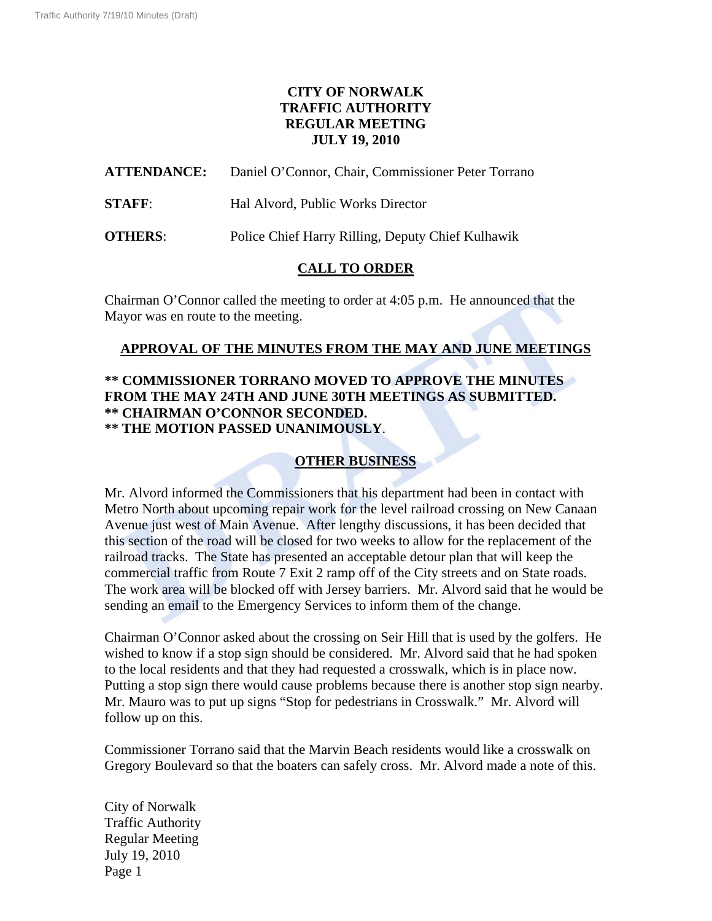# **CITY OF NORWALK TRAFFIC AUTHORITY REGULAR MEETING JULY 19, 2010**

**ATTENDANCE:** Daniel O'Connor, Chair, Commissioner Peter Torrano

**STAFF:** Hal Alvord, Public Works Director

**OTHERS**: Police Chief Harry Rilling, Deputy Chief Kulhawik

## **CALL TO ORDER**

Chairman O'Connor called the meeting to order at 4:05 p.m. He announced that the Mayor was en route to the meeting.

## **APPROVAL OF THE MINUTES FROM THE MAY AND JUNE MEETINGS**

#### **\*\* COMMISSIONER TORRANO MOVED TO APPROVE THE MINUTES FROM THE MAY 24TH AND JUNE 30TH MEETINGS AS SUBMITTED. \*\* CHAIRMAN O'CONNOR SECONDED. \*\* THE MOTION PASSED UNANIMOUSLY**.

# **OTHER BUSINESS**

Mr. Alvord informed the Commissioners that his department had been in contact with Metro North about upcoming repair work for the level railroad crossing on New Canaan Avenue just west of Main Avenue. After lengthy discussions, it has been decided that this section of the road will be closed for two weeks to allow for the replacement of the railroad tracks. The State has presented an acceptable detour plan that will keep the commercial traffic from Route 7 Exit 2 ramp off of the City streets and on State roads. The work area will be blocked off with Jersey barriers. Mr. Alvord said that he would be sending an email to the Emergency Services to inform them of the change.

Chairman O'Connor asked about the crossing on Seir Hill that is used by the golfers. He wished to know if a stop sign should be considered. Mr. Alvord said that he had spoken to the local residents and that they had requested a crosswalk, which is in place now. Putting a stop sign there would cause problems because there is another stop sign nearby. Mr. Mauro was to put up signs "Stop for pedestrians in Crosswalk." Mr. Alvord will follow up on this.

Commissioner Torrano said that the Marvin Beach residents would like a crosswalk on Gregory Boulevard so that the boaters can safely cross. Mr. Alvord made a note of this.

City of Norwalk Traffic Authority Regular Meeting July 19, 2010 Page 1